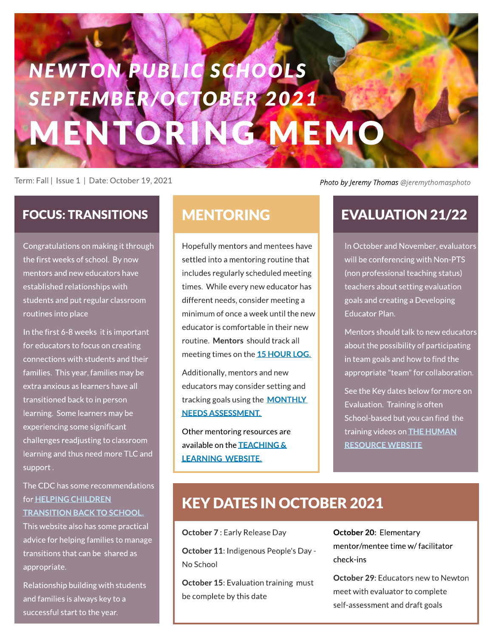# **GMEMO NEW TON PUBLIC SCHOOLS SEPTEM BER/ OCTOBER 2 0 2 1**

Term: Fall | Issue1 | Date: October 19,2021

**[Photo](https://unsplash.com/@jeremythomasphoto) [by](https://unsplash.com/@jeremythomasphoto) [Jeremy](https://unsplash.com/@jeremythomasphoto) [Thomas@jeremythomasphoto](https://unsplash.com/@jeremythomasphoto)**

Congratulations on making it through the first weeks of school. By now mentors and new educators have established relationships with students and put regular classroom routines into place

In the first 6-8 weeks it is important for educators to focus on creating connections with students and their families. This year, families may be extra anxious as learners have all transitioned back to in person learning. Some learners may be experiencing some significant challenges readjusting to classroom learning and thus need more TLC and support .

The CDC has some recommendations for **HELPING CHILDREN** [TRANSITION](https://www.cdc.gov/childrensmentalhealth/features/COVID-19-helping-children-transition-back-to-school.html) [BACK](https://www.cdc.gov/childrensmentalhealth/features/COVID-19-helping-children-transition-back-to-school.html) [TO](https://www.cdc.gov/childrensmentalhealth/features/COVID-19-helping-children-transition-back-to-school.html) [SCHOOL.](https://www.cdc.gov/childrensmentalhealth/features/COVID-19-helping-children-transition-back-to-school.html)

This website also has some practical advice for helping families to manage transitions that can be shared as appropriate.

Relationship building with students and families is always key to a successful start to the year.

Hopefully mentors and mentees have settled into a mentoring routine that includes regularly scheduled meeting times. While every new educator has different needs, consider meeting a minimum of once a week until the new educator is comfortable in their new routine. Mentors should track all meeting times on the [15](https://docs.google.com/document/d/1tk1qb8WBNy9JFzkbqXm9kMZ-T2_O_8XhSvaTwGDhIBo/edit?usp=sharing) HOUR LOG.

Additionally, mentors and new educators may consider setting and tracking goals using the **[MONTHLY](https://docs.google.com/document/d/1ued1bGD-DvXak2wjOW9T1OA89shEP1g_W71rEmjxbDk/edit?usp=sharing)** [NEEDSASSESSMENT.](https://docs.google.com/document/d/1ued1bGD-DvXak2wjOW9T1OA89shEP1g_W71rEmjxbDk/edit?usp=sharing)

Other mentoring resources are available on the **TEACHING &** [LEARNING](https://www.newton.k12.ma.us/Domain/101) [WEBSITE.](https://www.newton.k12.ma.us/Domain/101)

#### FOCUS: TRANSITIONS MENTORING EVALUATION 21/22

In October and November, evaluators will be conferencing with Non-PTS (non professional teaching status) teachers about setting evaluation goals and creating a Developing Educator Plan.

Mentors should talk to new educators about the possibility of participating in team goals and how to find the appropriate "team" for collaboration.

See the Key dates below for more on Evaluation. Training is often School-based but you can find the training videos on **THE HUMAN RESOURCE WEBSITE** 

#### **KEY DATES IN OCTOBER 2021**

October 7 : Early Release Day

October 11: Indigenous People's Day -No School

**October 15: Evaluation training must** be complete by this date

October 20: Elementary mentor/mentee time w/ facilitator check-ins

**October 29: Educators new to Newton** meet with evaluator to complete self-assessment and draft goals